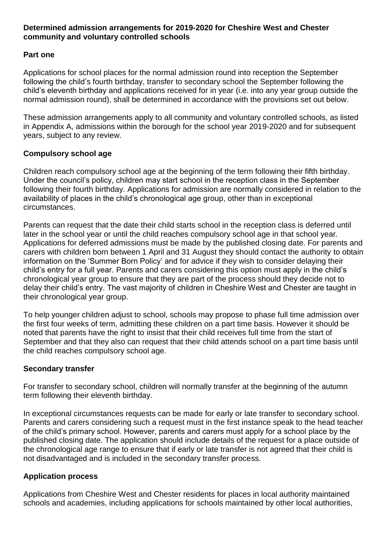### **Determined admission arrangements for 2019-2020 for Cheshire West and Chester community and voluntary controlled schools**

# **Part one**

Applications for school places for the normal admission round into reception the September following the child's fourth birthday, transfer to secondary school the September following the child's eleventh birthday and applications received for in year (i.e. into any year group outside the normal admission round), shall be determined in accordance with the provisions set out below.

These admission arrangements apply to all community and voluntary controlled schools, as listed in Appendix A, admissions within the borough for the school year 2019-2020 and for subsequent years, subject to any review.

### **Compulsory school age**

Children reach compulsory school age at the beginning of the term following their fifth birthday. Under the council's policy, children may start school in the reception class in the September following their fourth birthday. Applications for admission are normally considered in relation to the availability of places in the child's chronological age group, other than in exceptional circumstances.

Parents can request that the date their child starts school in the reception class is deferred until later in the school year or until the child reaches compulsory school age in that school year. Applications for deferred admissions must be made by the published closing date. For parents and carers with children born between 1 April and 31 August they should contact the authority to obtain information on the 'Summer Born Policy' and for advice if they wish to consider delaying their child's entry for a full year. Parents and carers considering this option must apply in the child's chronological year group to ensure that they are part of the process should they decide not to delay their child's entry. The vast majority of children in Cheshire West and Chester are taught in their chronological year group.

To help younger children adjust to school, schools may propose to phase full time admission over the first four weeks of term, admitting these children on a part time basis. However it should be noted that parents have the right to insist that their child receives full time from the start of September and that they also can request that their child attends school on a part time basis until the child reaches compulsory school age.

### **Secondary transfer**

For transfer to secondary school, children will normally transfer at the beginning of the autumn term following their eleventh birthday.

In exceptional circumstances requests can be made for early or late transfer to secondary school. Parents and carers considering such a request must in the first instance speak to the head teacher of the child's primary school. However, parents and carers must apply for a school place by the published closing date. The application should include details of the request for a place outside of the chronological age range to ensure that if early or late transfer is not agreed that their child is not disadvantaged and is included in the secondary transfer process.

# **Application process**

Applications from Cheshire West and Chester residents for places in local authority maintained schools and academies, including applications for schools maintained by other local authorities,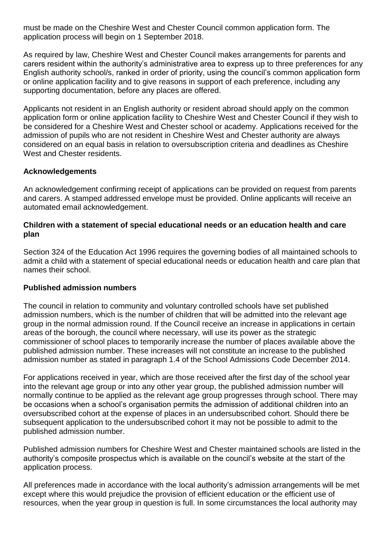must be made on the Cheshire West and Chester Council common application form. The application process will begin on 1 September 2018.

As required by law, Cheshire West and Chester Council makes arrangements for parents and carers resident within the authority's administrative area to express up to three preferences for any English authority school/s, ranked in order of priority, using the council's common application form or online application facility and to give reasons in support of each preference, including any supporting documentation, before any places are offered.

Applicants not resident in an English authority or resident abroad should apply on the common application form or online application facility to Cheshire West and Chester Council if they wish to be considered for a Cheshire West and Chester school or academy. Applications received for the admission of pupils who are not resident in Cheshire West and Chester authority are always considered on an equal basis in relation to oversubscription criteria and deadlines as Cheshire West and Chester residents.

### **Acknowledgements**

An acknowledgement confirming receipt of applications can be provided on request from parents and carers. A stamped addressed envelope must be provided. Online applicants will receive an automated email acknowledgement.

### **Children with a statement of special educational needs or an education health and care plan**

Section 324 of the Education Act 1996 requires the governing bodies of all maintained schools to admit a child with a statement of special educational needs or education health and care plan that names their school.

### **Published admission numbers**

The council in relation to community and voluntary controlled schools have set published admission numbers, which is the number of children that will be admitted into the relevant age group in the normal admission round. If the Council receive an increase in applications in certain areas of the borough, the council where necessary, will use its power as the strategic commissioner of school places to temporarily increase the number of places available above the published admission number. These increases will not constitute an increase to the published admission number as stated in paragraph 1.4 of the School Admissions Code December 2014.

For applications received in year, which are those received after the first day of the school year into the relevant age group or into any other year group, the published admission number will normally continue to be applied as the relevant age group progresses through school. There may be occasions when a school's organisation permits the admission of additional children into an oversubscribed cohort at the expense of places in an undersubscribed cohort. Should there be subsequent application to the undersubscribed cohort it may not be possible to admit to the published admission number.

Published admission numbers for Cheshire West and Chester maintained schools are listed in the authority's composite prospectus which is available on the council's website at the start of the application process.

All preferences made in accordance with the local authority's admission arrangements will be met except where this would prejudice the provision of efficient education or the efficient use of resources, when the year group in question is full. In some circumstances the local authority may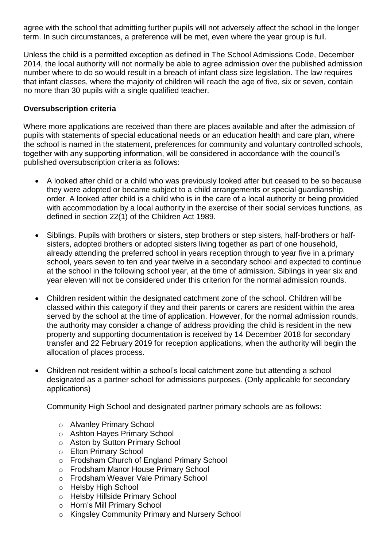agree with the school that admitting further pupils will not adversely affect the school in the longer term. In such circumstances, a preference will be met, even where the year group is full.

Unless the child is a permitted exception as defined in The School Admissions Code, December 2014, the local authority will not normally be able to agree admission over the published admission number where to do so would result in a breach of infant class size legislation. The law requires that infant classes, where the majority of children will reach the age of five, six or seven, contain no more than 30 pupils with a single qualified teacher.

### **Oversubscription criteria**

Where more applications are received than there are places available and after the admission of pupils with statements of special educational needs or an education health and care plan, where the school is named in the statement, preferences for community and voluntary controlled schools, together with any supporting information, will be considered in accordance with the council's published oversubscription criteria as follows:

- A looked after child or a child who was previously looked after but ceased to be so because they were adopted or became subject to a child arrangements or special guardianship, order. A looked after child is a child who is in the care of a local authority or being provided with accommodation by a local authority in the exercise of their social services functions, as defined in section 22(1) of the Children Act 1989.
- Siblings. Pupils with brothers or sisters, step brothers or step sisters, half-brothers or halfsisters, adopted brothers or adopted sisters living together as part of one household, already attending the preferred school in years reception through to year five in a primary school, years seven to ten and year twelve in a secondary school and expected to continue at the school in the following school year, at the time of admission. Siblings in year six and year eleven will not be considered under this criterion for the normal admission rounds.
- Children resident within the designated catchment zone of the school. Children will be classed within this category if they and their parents or carers are resident within the area served by the school at the time of application. However, for the normal admission rounds, the authority may consider a change of address providing the child is resident in the new property and supporting documentation is received by 14 December 2018 for secondary transfer and 22 February 2019 for reception applications, when the authority will begin the allocation of places process.
- Children not resident within a school's local catchment zone but attending a school designated as a partner school for admissions purposes. (Only applicable for secondary applications)

Community High School and designated partner primary schools are as follows:

- o Alvanley Primary School
- o Ashton Hayes Primary School
- o Aston by Sutton Primary School
- o Elton Primary School
- o Frodsham Church of England Primary School
- o Frodsham Manor House Primary School
- o Frodsham Weaver Vale Primary School
- o Helsby High School
- o Helsby Hillside Primary School
- o Horn's Mill Primary School
- o Kingsley Community Primary and Nursery School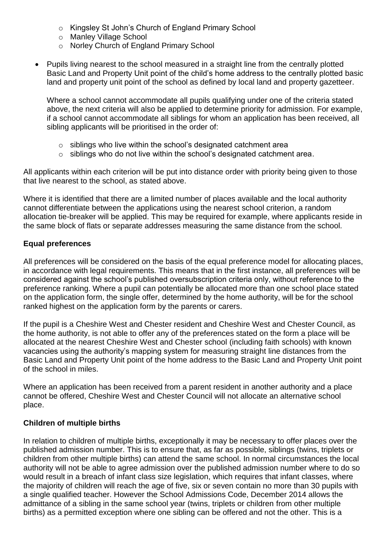- o Kingsley St John's Church of England Primary School
- o Manley Village School
- o Norley Church of England Primary School
- Pupils living nearest to the school measured in a straight line from the centrally plotted Basic Land and Property Unit point of the child's home address to the centrally plotted basic land and property unit point of the school as defined by local land and property gazetteer.

Where a school cannot accommodate all pupils qualifying under one of the criteria stated above, the next criteria will also be applied to determine priority for admission. For example, if a school cannot accommodate all siblings for whom an application has been received, all sibling applicants will be prioritised in the order of:

- o siblings who live within the school's designated catchment area
- o siblings who do not live within the school's designated catchment area.

All applicants within each criterion will be put into distance order with priority being given to those that live nearest to the school, as stated above.

Where it is identified that there are a limited number of places available and the local authority cannot differentiate between the applications using the nearest school criterion, a random allocation tie-breaker will be applied. This may be required for example, where applicants reside in the same block of flats or separate addresses measuring the same distance from the school.

# **Equal preferences**

All preferences will be considered on the basis of the equal preference model for allocating places, in accordance with legal requirements. This means that in the first instance, all preferences will be considered against the school's published oversubscription criteria only, without reference to the preference ranking. Where a pupil can potentially be allocated more than one school place stated on the application form, the single offer, determined by the home authority, will be for the school ranked highest on the application form by the parents or carers.

If the pupil is a Cheshire West and Chester resident and Cheshire West and Chester Council, as the home authority, is not able to offer any of the preferences stated on the form a place will be allocated at the nearest Cheshire West and Chester school (including faith schools) with known vacancies using the authority's mapping system for measuring straight line distances from the Basic Land and Property Unit point of the home address to the Basic Land and Property Unit point of the school in miles.

Where an application has been received from a parent resident in another authority and a place cannot be offered, Cheshire West and Chester Council will not allocate an alternative school place.

# **Children of multiple births**

In relation to children of multiple births, exceptionally it may be necessary to offer places over the published admission number. This is to ensure that, as far as possible, siblings (twins, triplets or children from other multiple births) can attend the same school. In normal circumstances the local authority will not be able to agree admission over the published admission number where to do so would result in a breach of infant class size legislation, which requires that infant classes, where the majority of children will reach the age of five, six or seven contain no more than 30 pupils with a single qualified teacher. However the School Admissions Code, December 2014 allows the admittance of a sibling in the same school year (twins, triplets or children from other multiple births) as a permitted exception where one sibling can be offered and not the other. This is a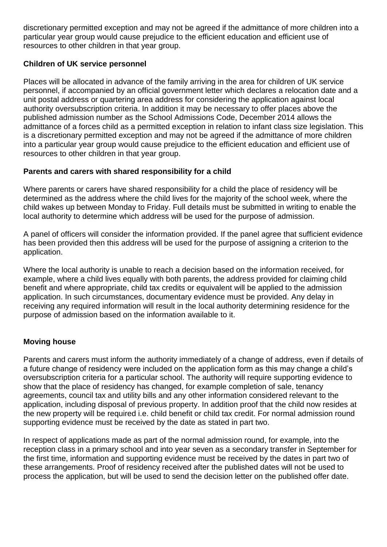discretionary permitted exception and may not be agreed if the admittance of more children into a particular year group would cause prejudice to the efficient education and efficient use of resources to other children in that year group.

# **Children of UK service personnel**

Places will be allocated in advance of the family arriving in the area for children of UK service personnel, if accompanied by an official government letter which declares a relocation date and a unit postal address or quartering area address for considering the application against local authority oversubscription criteria. In addition it may be necessary to offer places above the published admission number as the School Admissions Code, December 2014 allows the admittance of a forces child as a permitted exception in relation to infant class size legislation. This is a discretionary permitted exception and may not be agreed if the admittance of more children into a particular year group would cause prejudice to the efficient education and efficient use of resources to other children in that year group.

# **Parents and carers with shared responsibility for a child**

Where parents or carers have shared responsibility for a child the place of residency will be determined as the address where the child lives for the majority of the school week, where the child wakes up between Monday to Friday. Full details must be submitted in writing to enable the local authority to determine which address will be used for the purpose of admission.

A panel of officers will consider the information provided. If the panel agree that sufficient evidence has been provided then this address will be used for the purpose of assigning a criterion to the application.

Where the local authority is unable to reach a decision based on the information received, for example, where a child lives equally with both parents, the address provided for claiming child benefit and where appropriate, child tax credits or equivalent will be applied to the admission application. In such circumstances, documentary evidence must be provided. Any delay in receiving any required information will result in the local authority determining residence for the purpose of admission based on the information available to it.

# **Moving house**

Parents and carers must inform the authority immediately of a change of address, even if details of a future change of residency were included on the application form as this may change a child's oversubscription criteria for a particular school. The authority will require supporting evidence to show that the place of residency has changed, for example completion of sale, tenancy agreements, council tax and utility bills and any other information considered relevant to the application, including disposal of previous property. In addition proof that the child now resides at the new property will be required i.e. child benefit or child tax credit. For normal admission round supporting evidence must be received by the date as stated in part two.

In respect of applications made as part of the normal admission round, for example, into the reception class in a primary school and into year seven as a secondary transfer in September for the first time, information and supporting evidence must be received by the dates in part two of these arrangements. Proof of residency received after the published dates will not be used to process the application, but will be used to send the decision letter on the published offer date.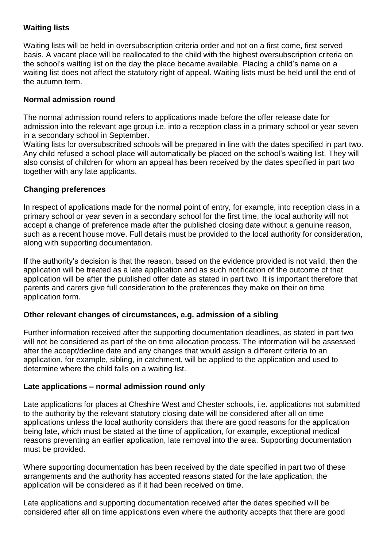# **Waiting lists**

Waiting lists will be held in oversubscription criteria order and not on a first come, first served basis. A vacant place will be reallocated to the child with the highest oversubscription criteria on the school's waiting list on the day the place became available. Placing a child's name on a waiting list does not affect the statutory right of appeal. Waiting lists must be held until the end of the autumn term.

### **Normal admission round**

The normal admission round refers to applications made before the offer release date for admission into the relevant age group i.e. into a reception class in a primary school or year seven in a secondary school in September.

Waiting lists for oversubscribed schools will be prepared in line with the dates specified in part two. Any child refused a school place will automatically be placed on the school's waiting list. They will also consist of children for whom an appeal has been received by the dates specified in part two together with any late applicants.

### **Changing preferences**

In respect of applications made for the normal point of entry, for example, into reception class in a primary school or year seven in a secondary school for the first time, the local authority will not accept a change of preference made after the published closing date without a genuine reason, such as a recent house move. Full details must be provided to the local authority for consideration, along with supporting documentation.

If the authority's decision is that the reason, based on the evidence provided is not valid, then the application will be treated as a late application and as such notification of the outcome of that application will be after the published offer date as stated in part two. It is important therefore that parents and carers give full consideration to the preferences they make on their on time application form.

### **Other relevant changes of circumstances, e.g. admission of a sibling**

Further information received after the supporting documentation deadlines, as stated in part two will not be considered as part of the on time allocation process. The information will be assessed after the accept/decline date and any changes that would assign a different criteria to an application, for example, sibling, in catchment, will be applied to the application and used to determine where the child falls on a waiting list.

### **Late applications – normal admission round only**

Late applications for places at Cheshire West and Chester schools, i.e. applications not submitted to the authority by the relevant statutory closing date will be considered after all on time applications unless the local authority considers that there are good reasons for the application being late, which must be stated at the time of application, for example, exceptional medical reasons preventing an earlier application, late removal into the area. Supporting documentation must be provided.

Where supporting documentation has been received by the date specified in part two of these arrangements and the authority has accepted reasons stated for the late application, the application will be considered as if it had been received on time.

Late applications and supporting documentation received after the dates specified will be considered after all on time applications even where the authority accepts that there are good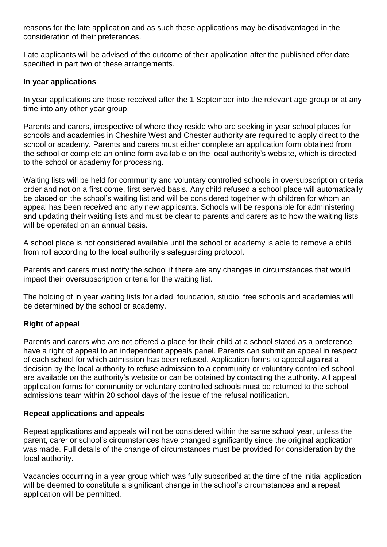reasons for the late application and as such these applications may be disadvantaged in the consideration of their preferences.

Late applicants will be advised of the outcome of their application after the published offer date specified in part two of these arrangements.

### **In year applications**

In year applications are those received after the 1 September into the relevant age group or at any time into any other year group.

Parents and carers, irrespective of where they reside who are seeking in year school places for schools and academies in Cheshire West and Chester authority are required to apply direct to the school or academy. Parents and carers must either complete an application form obtained from the school or complete an online form available on the local authority's website, which is directed to the school or academy for processing.

Waiting lists will be held for community and voluntary controlled schools in oversubscription criteria order and not on a first come, first served basis. Any child refused a school place will automatically be placed on the school's waiting list and will be considered together with children for whom an appeal has been received and any new applicants. Schools will be responsible for administering and updating their waiting lists and must be clear to parents and carers as to how the waiting lists will be operated on an annual basis.

A school place is not considered available until the school or academy is able to remove a child from roll according to the local authority's safeguarding protocol.

Parents and carers must notify the school if there are any changes in circumstances that would impact their oversubscription criteria for the waiting list.

The holding of in year waiting lists for aided, foundation, studio, free schools and academies will be determined by the school or academy.

# **Right of appeal**

Parents and carers who are not offered a place for their child at a school stated as a preference have a right of appeal to an independent appeals panel. Parents can submit an appeal in respect of each school for which admission has been refused. Application forms to appeal against a decision by the local authority to refuse admission to a community or voluntary controlled school are available on the authority's website or can be obtained by contacting the authority. All appeal application forms for community or voluntary controlled schools must be returned to the school admissions team within 20 school days of the issue of the refusal notification.

# **Repeat applications and appeals**

Repeat applications and appeals will not be considered within the same school year, unless the parent, carer or school's circumstances have changed significantly since the original application was made. Full details of the change of circumstances must be provided for consideration by the local authority.

Vacancies occurring in a year group which was fully subscribed at the time of the initial application will be deemed to constitute a significant change in the school's circumstances and a repeat application will be permitted.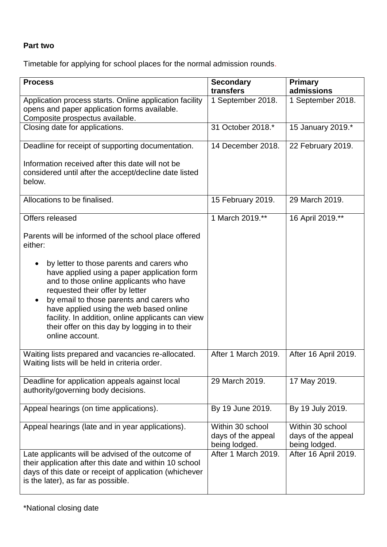# **Part two**

Timetable for applying for school places for the normal admission rounds.

| <b>Process</b>                                                                                                                                                                                                                                                                                                                                                                          | <b>Secondary</b><br>transfers                           | <b>Primary</b><br>admissions                            |
|-----------------------------------------------------------------------------------------------------------------------------------------------------------------------------------------------------------------------------------------------------------------------------------------------------------------------------------------------------------------------------------------|---------------------------------------------------------|---------------------------------------------------------|
| Application process starts. Online application facility<br>opens and paper application forms available.<br>Composite prospectus available.                                                                                                                                                                                                                                              | 1 September 2018.                                       | 1 September 2018.                                       |
| Closing date for applications.                                                                                                                                                                                                                                                                                                                                                          | 31 October 2018.*                                       | 15 January 2019.*                                       |
| Deadline for receipt of supporting documentation.                                                                                                                                                                                                                                                                                                                                       | 14 December 2018.                                       | 22 February 2019.                                       |
| Information received after this date will not be<br>considered until after the accept/decline date listed<br>below.                                                                                                                                                                                                                                                                     |                                                         |                                                         |
| Allocations to be finalised.                                                                                                                                                                                                                                                                                                                                                            | 15 February 2019.                                       | 29 March 2019.                                          |
| Offers released                                                                                                                                                                                                                                                                                                                                                                         | 1 March 2019.**                                         | 16 April 2019.**                                        |
| Parents will be informed of the school place offered<br>either:                                                                                                                                                                                                                                                                                                                         |                                                         |                                                         |
| by letter to those parents and carers who<br>have applied using a paper application form<br>and to those online applicants who have<br>requested their offer by letter<br>by email to those parents and carers who<br>have applied using the web based online<br>facility. In addition, online applicants can view<br>their offer on this day by logging in to their<br>online account. |                                                         |                                                         |
| Waiting lists prepared and vacancies re-allocated.<br>Waiting lists will be held in criteria order.                                                                                                                                                                                                                                                                                     | After 1 March 2019.                                     | After 16 April 2019.                                    |
| Deadline for application appeals against local<br>authority/governing body decisions.                                                                                                                                                                                                                                                                                                   | 29 March 2019.                                          | 17 May 2019.                                            |
| Appeal hearings (on time applications).                                                                                                                                                                                                                                                                                                                                                 | By 19 June 2019.                                        | By 19 July 2019.                                        |
| Appeal hearings (late and in year applications).                                                                                                                                                                                                                                                                                                                                        | Within 30 school<br>days of the appeal<br>being lodged. | Within 30 school<br>days of the appeal<br>being lodged. |
| Late applicants will be advised of the outcome of<br>their application after this date and within 10 school<br>days of this date or receipt of application (whichever<br>is the later), as far as possible.                                                                                                                                                                             | After 1 March 2019.                                     | After 16 April 2019.                                    |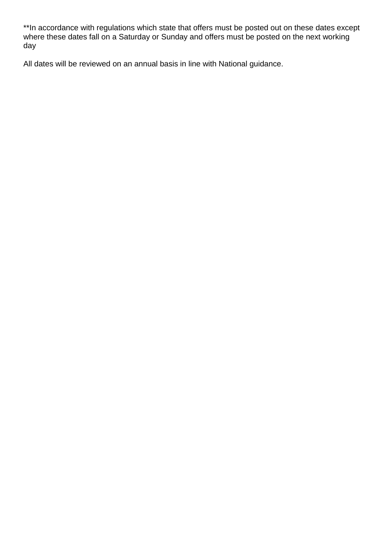\*\*In accordance with regulations which state that offers must be posted out on these dates except where these dates fall on a Saturday or Sunday and offers must be posted on the next working day

All dates will be reviewed on an annual basis in line with National guidance.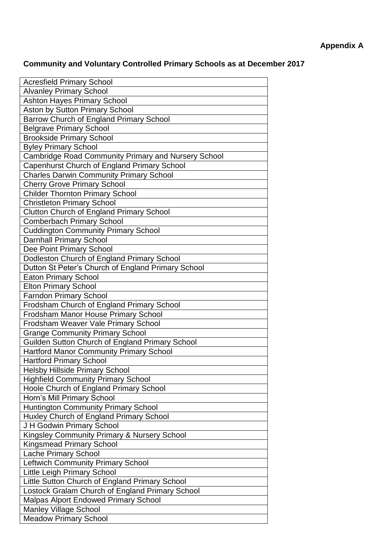# **Community and Voluntary Controlled Primary Schools as at December 2017**

| <b>Acresfield Primary School</b>                    |  |  |
|-----------------------------------------------------|--|--|
| <b>Alvanley Primary School</b>                      |  |  |
| <b>Ashton Hayes Primary School</b>                  |  |  |
| Aston by Sutton Primary School                      |  |  |
| Barrow Church of England Primary School             |  |  |
| <b>Belgrave Primary School</b>                      |  |  |
| <b>Brookside Primary School</b>                     |  |  |
| <b>Byley Primary School</b>                         |  |  |
| Cambridge Road Community Primary and Nursery School |  |  |
| Capenhurst Church of England Primary School         |  |  |
| <b>Charles Darwin Community Primary School</b>      |  |  |
| <b>Cherry Grove Primary School</b>                  |  |  |
| <b>Childer Thornton Primary School</b>              |  |  |
| <b>Christleton Primary School</b>                   |  |  |
| <b>Clutton Church of England Primary School</b>     |  |  |
| <b>Comberbach Primary School</b>                    |  |  |
| <b>Cuddington Community Primary School</b>          |  |  |
| <b>Darnhall Primary School</b>                      |  |  |
| Dee Point Primary School                            |  |  |
| Dodleston Church of England Primary School          |  |  |
| Dutton St Peter's Church of England Primary School  |  |  |
| <b>Eaton Primary School</b>                         |  |  |
| <b>Elton Primary School</b>                         |  |  |
| <b>Farndon Primary School</b>                       |  |  |
| Frodsham Church of England Primary School           |  |  |
| Frodsham Manor House Primary School                 |  |  |
| Frodsham Weaver Vale Primary School                 |  |  |
| <b>Grange Community Primary School</b>              |  |  |
| Guilden Sutton Church of England Primary School     |  |  |
| <b>Hartford Manor Community Primary School</b>      |  |  |
| <b>Hartford Primary School</b>                      |  |  |
| <b>Helsby Hillside Primary School</b>               |  |  |
| <b>Highfield Community Primary School</b>           |  |  |
| Hoole Church of England Primary School              |  |  |
| Horn's Mill Primary School                          |  |  |
| <b>Huntington Community Primary School</b>          |  |  |
| Huxley Church of England Primary School             |  |  |
| J H Godwin Primary School                           |  |  |
| Kingsley Community Primary & Nursery School         |  |  |
| <b>Kingsmead Primary School</b>                     |  |  |
| Lache Primary School                                |  |  |
| <b>Leftwich Community Primary School</b>            |  |  |
| <b>Little Leigh Primary School</b>                  |  |  |
| Little Sutton Church of England Primary School      |  |  |
| Lostock Gralam Church of England Primary School     |  |  |
| Malpas Alport Endowed Primary School                |  |  |
| <b>Manley Village School</b>                        |  |  |
| <b>Meadow Primary School</b>                        |  |  |